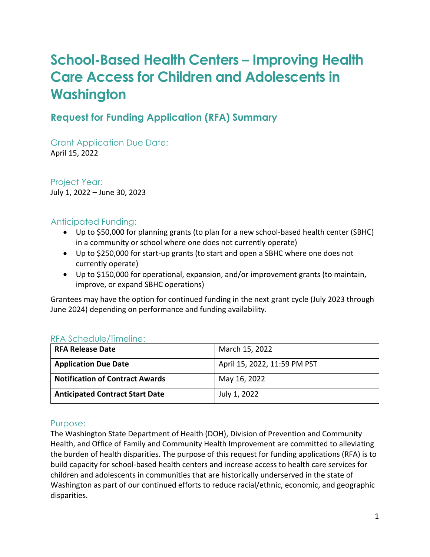# **School-Based Health Centers – Improving Health Care Access for Children and Adolescents in Washington**

### **Request for Funding Application (RFA) Summary**

Grant Application Due Date: April 15, 2022

Project Year: July 1, 2022 – June 30, 2023

#### Anticipated Funding:

- Up to \$50,000 for planning grants (to plan for a new school-based health center (SBHC) in a community or school where one does not currently operate)
- Up to \$250,000 for start-up grants (to start and open a SBHC where one does not currently operate)
- Up to \$150,000 for operational, expansion, and/or improvement grants (to maintain, improve, or expand SBHC operations)

Grantees may have the option for continued funding in the next grant cycle (July 2023 through June 2024) depending on performance and funding availability.

#### RFA Schedule/Timeline:

| <b>RFA Release Date</b>                | March 15, 2022               |
|----------------------------------------|------------------------------|
| <b>Application Due Date</b>            | April 15, 2022, 11:59 PM PST |
| <b>Notification of Contract Awards</b> | May 16, 2022                 |
| <b>Anticipated Contract Start Date</b> | July 1, 2022                 |

#### Purpose:

The Washington State Department of Health (DOH), Division of Prevention and Community Health, and Office of Family and Community Health Improvement are committed to alleviating the burden of health disparities. The purpose of this request for funding applications (RFA) is to build capacity for school-based health centers and increase access to health care services for children and adolescents in communities that are historically underserved in the state of Washington as part of our continued efforts to reduce racial/ethnic, economic, and geographic disparities.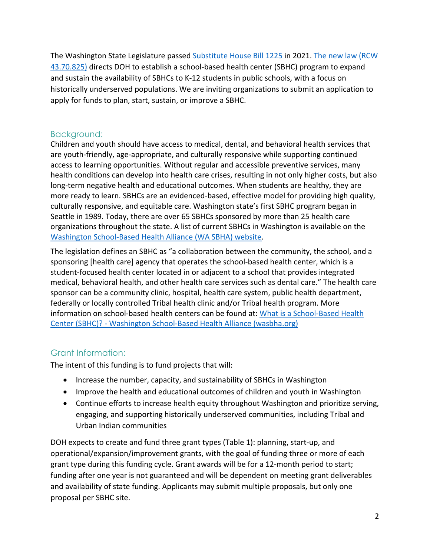The Washington State Legislature passed [Substitute House Bill 1225](https://app.leg.wa.gov/billsummary?BillNumber=1225&Year=2021) in 2021. [The new law \(RCW](https://app.leg.wa.gov/RCW/default.aspx?cite=43.70.825)  [43.70.825\)](https://app.leg.wa.gov/RCW/default.aspx?cite=43.70.825) directs DOH to establish a school-based health center (SBHC) program to expand and sustain the availability of SBHCs to K-12 students in public schools, with a focus on historically underserved populations. We are inviting organizations to submit an application to apply for funds to plan, start, sustain, or improve a SBHC.

#### Background:

Children and youth should have access to medical, dental, and behavioral health services that are youth-friendly, age-appropriate, and culturally responsive while supporting continued access to learning opportunities. Without regular and accessible preventive services, many health conditions can develop into health care crises, resulting in not only higher costs, but also long-term negative health and educational outcomes. When students are healthy, they are more ready to learn. SBHCs are an evidenced-based, effective model for providing high quality, culturally responsive, and equitable care. Washington state's first SBHC program began in Seattle in 1989. Today, there are over 65 SBHCs sponsored by more than 25 health care organizations throughout the state. A list of current SBHCs in Washington is available on the [Washington School-Based Health Alliance \(WA SBHA\) website.](https://wasbha.org/sbhcs-in-washington-2/)

The legislation defines an SBHC as "a collaboration between the community, the school, and a sponsoring [health care] agency that operates the school-based health center, which is a student-focused health center located in or adjacent to a school that provides integrated medical, behavioral health, and other health care services such as dental care." The health care sponsor can be a community clinic, hospital, health care system, public health department, federally or locally controlled Tribal health clinic and/or Tribal health program. More information on school-based health centers can be found at: What is a School-Based Health [Center \(SBHC\)? - Washington School-Based Health Alliance \(wasbha.org\)](https://wasbha.org/sbhcs-in-washington/)

### Grant Information:

The intent of this funding is to fund projects that will:

- Increase the number, capacity, and sustainability of SBHCs in Washington
- Improve the health and educational outcomes of children and youth in Washington
- Continue efforts to increase health equity throughout Washington and prioritize serving, engaging, and supporting historically underserved communities, including Tribal and Urban Indian communities

DOH expects to create and fund three grant types (Table 1): planning, start-up, and operational/expansion/improvement grants, with the goal of funding three or more of each grant type during this funding cycle. Grant awards will be for a 12-month period to start; funding after one year is not guaranteed and will be dependent on meeting grant deliverables and availability of state funding. Applicants may submit multiple proposals, but only one proposal per SBHC site.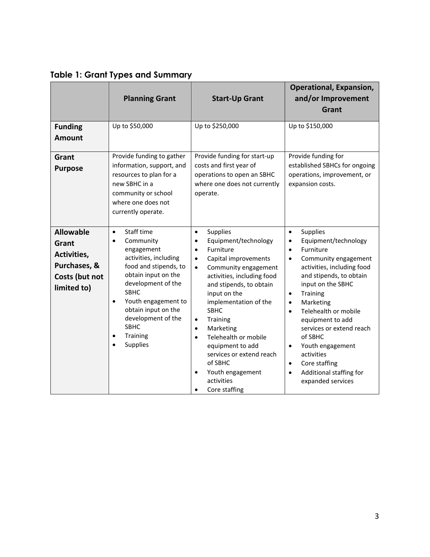<span id="page-2-0"></span>

|  |  |  |  |  | <b>Table 1: Grant Types and Summary</b> |
|--|--|--|--|--|-----------------------------------------|
|--|--|--|--|--|-----------------------------------------|

|                                                                                           | <b>Planning Grant</b>                                                                                                                                                                                                                                                                                                                  | <b>Start-Up Grant</b>                                                                                                                                                                                                                                                                                                                                                                                                                                                                              | <b>Operational, Expansion,</b><br>and/or Improvement<br>Grant                                                                                                                                                                                                                                                                                                                                                                                                                                        |
|-------------------------------------------------------------------------------------------|----------------------------------------------------------------------------------------------------------------------------------------------------------------------------------------------------------------------------------------------------------------------------------------------------------------------------------------|----------------------------------------------------------------------------------------------------------------------------------------------------------------------------------------------------------------------------------------------------------------------------------------------------------------------------------------------------------------------------------------------------------------------------------------------------------------------------------------------------|------------------------------------------------------------------------------------------------------------------------------------------------------------------------------------------------------------------------------------------------------------------------------------------------------------------------------------------------------------------------------------------------------------------------------------------------------------------------------------------------------|
| <b>Funding</b><br><b>Amount</b>                                                           | Up to \$50,000                                                                                                                                                                                                                                                                                                                         | Up to \$250,000                                                                                                                                                                                                                                                                                                                                                                                                                                                                                    | Up to \$150,000                                                                                                                                                                                                                                                                                                                                                                                                                                                                                      |
| Grant<br><b>Purpose</b>                                                                   | Provide funding to gather<br>information, support, and<br>resources to plan for a<br>new SBHC in a<br>community or school<br>where one does not<br>currently operate.                                                                                                                                                                  | Provide funding for start-up<br>costs and first year of<br>operations to open an SBHC<br>where one does not currently<br>operate.                                                                                                                                                                                                                                                                                                                                                                  | Provide funding for<br>established SBHCs for ongoing<br>operations, improvement, or<br>expansion costs.                                                                                                                                                                                                                                                                                                                                                                                              |
| <b>Allowable</b><br>Grant<br>Activities,<br>Purchases, &<br>Costs (but not<br>limited to) | Staff time<br>$\bullet$<br>Community<br>$\bullet$<br>engagement<br>activities, including<br>food and stipends, to<br>obtain input on the<br>development of the<br><b>SBHC</b><br>Youth engagement to<br>$\bullet$<br>obtain input on the<br>development of the<br><b>SBHC</b><br>Training<br>$\bullet$<br><b>Supplies</b><br>$\bullet$ | Supplies<br>$\bullet$<br>Equipment/technology<br>$\bullet$<br>Furniture<br>$\bullet$<br>Capital improvements<br>$\bullet$<br>Community engagement<br>$\bullet$<br>activities, including food<br>and stipends, to obtain<br>input on the<br>implementation of the<br><b>SBHC</b><br>Training<br>$\bullet$<br>Marketing<br>$\bullet$<br>Telehealth or mobile<br>$\bullet$<br>equipment to add<br>services or extend reach<br>of SBHC<br>Youth engagement<br>$\bullet$<br>activities<br>Core staffing | Supplies<br>$\bullet$<br>Equipment/technology<br>$\bullet$<br>Furniture<br>$\bullet$<br>Community engagement<br>$\bullet$<br>activities, including food<br>and stipends, to obtain<br>input on the SBHC<br>Training<br>$\bullet$<br>Marketing<br>$\bullet$<br>Telehealth or mobile<br>$\bullet$<br>equipment to add<br>services or extend reach<br>of SBHC<br>Youth engagement<br>$\bullet$<br>activities<br>Core staffing<br>$\bullet$<br>Additional staffing for<br>$\bullet$<br>expanded services |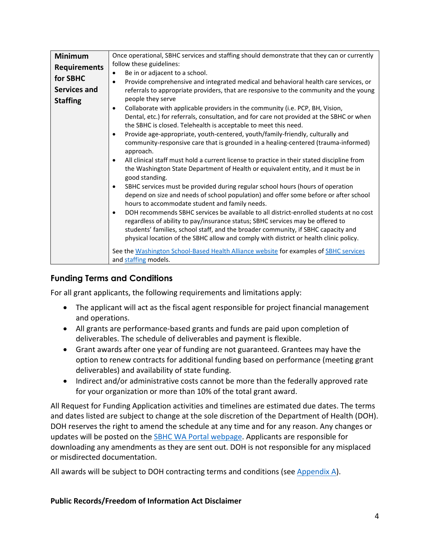| <b>Minimum</b>      | Once operational, SBHC services and staffing should demonstrate that they can or currently                                                                                            |
|---------------------|---------------------------------------------------------------------------------------------------------------------------------------------------------------------------------------|
| <b>Requirements</b> | follow these guidelines:                                                                                                                                                              |
| for SBHC            | Be in or adjacent to a school.<br>$\bullet$                                                                                                                                           |
|                     | Provide comprehensive and integrated medical and behavioral health care services, or<br>$\bullet$                                                                                     |
| Services and        | referrals to appropriate providers, that are responsive to the community and the young                                                                                                |
| <b>Staffing</b>     | people they serve                                                                                                                                                                     |
|                     | Collaborate with applicable providers in the community (i.e. PCP, BH, Vision,<br>$\bullet$                                                                                            |
|                     | Dental, etc.) for referrals, consultation, and for care not provided at the SBHC or when<br>the SBHC is closed. Telehealth is acceptable to meet this need.                           |
|                     | Provide age-appropriate, youth-centered, youth/family-friendly, culturally and<br>$\bullet$                                                                                           |
|                     | community-responsive care that is grounded in a healing-centered (trauma-informed)<br>approach.                                                                                       |
|                     | All clinical staff must hold a current license to practice in their stated discipline from<br>$\bullet$                                                                               |
|                     | the Washington State Department of Health or equivalent entity, and it must be in<br>good standing.                                                                                   |
|                     | SBHC services must be provided during regular school hours (hours of operation<br>$\bullet$                                                                                           |
|                     | depend on size and needs of school population) and offer some before or after school<br>hours to accommodate student and family needs.                                                |
|                     | DOH recommends SBHC services be available to all district-enrolled students at no cost<br>$\bullet$<br>regardless of ability to pay/insurance status; SBHC services may be offered to |
|                     | students' families, school staff, and the broader community, if SBHC capacity and<br>physical location of the SBHC allow and comply with district or health clinic policy.            |
|                     | See the Washington School-Based Health Alliance website for examples of SBHC services                                                                                                 |
|                     | and staffing models.                                                                                                                                                                  |
|                     |                                                                                                                                                                                       |

### **Funding Terms and Conditions**

For all grant applicants, the following requirements and limitations apply:

- The applicant will act as the fiscal agent responsible for project financial management and operations.
- All grants are performance-based grants and funds are paid upon completion of deliverables. The schedule of deliverables and payment is flexible.
- Grant awards after one year of funding are not guaranteed. Grantees may have the option to renew contracts for additional funding based on performance (meeting grant deliverables) and availability of state funding.
- Indirect and/or administrative costs cannot be more than the federally approved rate for your organization or more than 10% of the total grant award.

All Request for Funding Application activities and timelines are estimated due dates. The terms and dates listed are subject to change at the sole discretion of the Department of Health (DOH). DOH reserves the right to amend the schedule at any time and for any reason. Any changes or updates will be posted on the **SBHC WA Portal webpage**. Applicants are responsible for downloading any amendments as they are sent out. DOH is not responsible for any misplaced or misdirected documentation.

All awards will be subject to DOH contracting terms and conditions (see [Appendix A\)](#page-20-0).

#### **Public Records/Freedom of Information Act Disclaimer**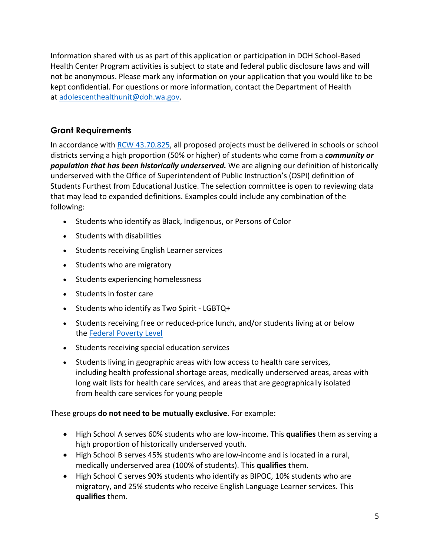Information shared with us as part of this application or participation in DOH School-Based Health Center Program activities is subject to state and federal public disclosure laws and will not be anonymous. Please mark any information on your application that you would like to be kept confidential. For questions or more information, contact the Department of Health at [adolescenthealthunit@doh.wa.gov.](mailto:adolescenthealthunit@doh.wa.gov)

### <span id="page-4-0"></span>**Grant Requirements**

In accordance with [RCW 43.70.825,](https://app.leg.wa.gov/RCW/default.aspx?cite=43.70.825) all proposed projects must be delivered in schools or school districts serving a high proportion (50% or higher) of students who come from a *community or population that has been historically underserved.* We are aligning our definition of historically underserved with the Office of Superintendent of Public Instruction's (OSPI) definition of Students Furthest from Educational Justice. The selection committee is open to reviewing data that may lead to expanded definitions. Examples could include any combination of the following:

- Students who identify as Black, Indigenous, or Persons of Color
- Students with disabilities
- Students receiving English Learner services
- Students who are migratory
- Students experiencing homelessness
- Students in foster care
- Students who identify as Two Spirit LGBTQ+
- Students receiving free or reduced-price lunch, and/or students living at or below the [Federal Poverty Level](https://www.healthcare.gov/glossary/federal-poverty-level-FPL/)
- Students receiving special education services
- Students living in geographic areas with low access to health care services, including health professional shortage areas, medically underserved areas, areas with long wait lists for health care services, and areas that are geographically isolated from health care services for young people

### These groups **do not need to be mutually exclusive**. For example:

- High School A serves 60% students who are low-income. This **qualifies** them as serving a high proportion of historically underserved youth.
- High School B serves 45% students who are low-income and is located in a rural, medically underserved area (100% of students). This **qualifies** them.
- High School C serves 90% students who identify as BIPOC, 10% students who are migratory, and 25% students who receive English Language Learner services. This **qualifies** them.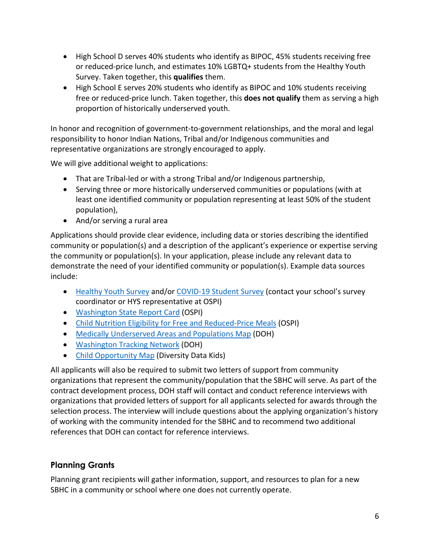- High School D serves 40% students who identify as BIPOC, 45% students receiving free or reduced-price lunch, and estimates 10% LGBTQ+ students from the Healthy Youth Survey. Taken together, this **qualifies** them.
- High School E serves 20% students who identify as BIPOC and 10% students receiving free or reduced-price lunch. Taken together, this **does not qualify** them as serving a high proportion of historically underserved youth.

In honor and recognition of government-to-government relationships, and the moral and legal responsibility to honor Indian Nations, Tribal and/or Indigenous communities and representative organizations are strongly encouraged to apply.

We will give additional weight to applications:

- That are Tribal-led or with a strong Tribal and/or Indigenous partnership,
- Serving three or more historically underserved communities or populations (with at least one identified community or population representing at least 50% of the student population),
- <span id="page-5-0"></span>• And/or serving a rural area

Applications should provide clear evidence, including data or stories describing the identified community or population(s) and a description of the applicant's experience or expertise serving the community or population(s). In your application, please include any relevant data to demonstrate the need of your identified community or population(s). Example data sources include:

- [Healthy Youth Survey](https://www.doh.wa.gov/DataandStatisticalReports/DataSystems/HealthyYouthSurvey) and/or [COVID-19 Student Survey](https://csswashington.org/) (contact your school's survey coordinator or HYS representative at OSPI)
- [Washington State Report Card](https://washingtonstatereportcard.ospi.k12.wa.us/ReportCard/ViewSchoolOrDistrict/103300) (OSPI)
- [Child Nutrition Eligibility for Free and Reduced-Price Meals](https://www.k12.wa.us/policy-funding/child-nutrition/child-nutrition-program-reports) (OSPI)
- [Medically Underserved Areas and Populations Map](https://fortress.wa.gov/doh/base/gis/mua_p.pdf) (DOH)
- [Washington Tracking Network](https://fortress.wa.gov/doh/wtn/WTNIBL/Map/HealthDisp) (DOH)
- [Child Opportunity Map](https://www.diversitydatakids.org/research-library/blog/mapping-child-opportunity) (Diversity Data Kids)

All applicants will also be required to submit two letters of support from community organizations that represent the community/population that the SBHC will serve. As part of the contract development process, DOH staff will contact and conduct reference interviews with organizations that provided letters of support for all applicants selected for awards through the selection process. The interview will include questions about the applying organization's history of working with the community intended for the SBHC and to recommend two additional references that DOH can contact for reference interviews.

### **Planning Grants**

Planning grant recipients will gather information, support, and resources to plan for a new SBHC in a community or school where one does not currently operate.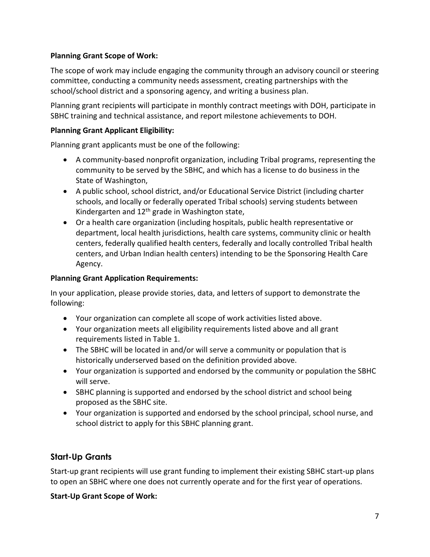#### <span id="page-6-0"></span>**Planning Grant Scope of Work:**

The scope of work may include engaging the community through an advisory council or steering committee, conducting a community needs assessment, creating partnerships with the school/school district and a sponsoring agency, and writing a business plan.

Planning grant recipients will participate in monthly contract meetings with DOH, participate in SBHC training and technical assistance, and report milestone achievements to DOH.

#### **Planning Grant Applicant Eligibility:**

Planning grant applicants must be one of the following:

- A community-based nonprofit organization, including Tribal programs, representing the community to be served by the SBHC, and which has a license to do business in the State of Washington,
- A public school, school district, and/or Educational Service District (including charter schools, and locally or federally operated Tribal schools) serving students between Kindergarten and  $12<sup>th</sup>$  grade in Washington state,
- Or a health care organization (including hospitals, public health representative or department, local health jurisdictions, health care systems, community clinic or health centers, federally qualified health centers, federally and locally controlled Tribal health centers, and Urban Indian health centers) intending to be the Sponsoring Health Care Agency.

#### **Planning Grant Application Requirements:**

In your application, please provide stories, data, and letters of support to demonstrate the following:

- Your organization can complete all scope of work activities listed above.
- Your organization meets all eligibility requirements listed above and all grant requirements listed in Table 1.
- The SBHC will be located in and/or will serve a community or population that is historically underserved based on the definition provided above.
- Your organization is supported and endorsed by the community or population the SBHC will serve.
- SBHC planning is supported and endorsed by the school district and school being proposed as the SBHC site.
- Your organization is supported and endorsed by the school principal, school nurse, and school district to apply for this SBHC planning grant.

### <span id="page-6-1"></span>**Start-Up Grants**

Start-up grant recipients will use grant funding to implement their existing SBHC start-up plans to open an SBHC where one does not currently operate and for the first year of operations.

#### **Start-Up Grant Scope of Work:**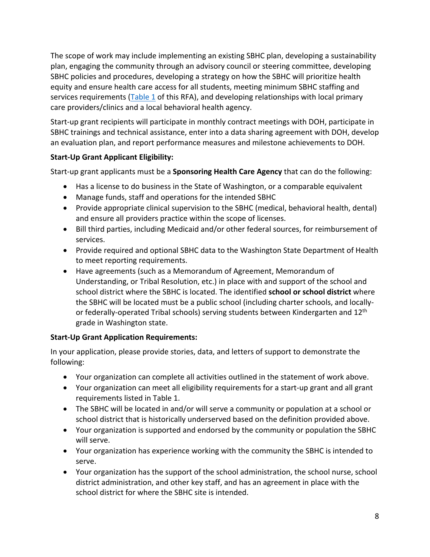The scope of work may include implementing an existing SBHC plan, developing a sustainability plan, engaging the community through an advisory council or steering committee, developing SBHC policies and procedures, developing a strategy on how the SBHC will prioritize health equity and ensure health care access for all students, meeting minimum SBHC staffing and services requirements [\(Table 1](#page-2-0) of this RFA), and developing relationships with local primary care providers/clinics and a local behavioral health agency.

Start-up grant recipients will participate in monthly contract meetings with DOH, participate in SBHC trainings and technical assistance, enter into a data sharing agreement with DOH, develop an evaluation plan, and report performance measures and milestone achievements to DOH.

### **Start-Up Grant Applicant Eligibility:**

Start-up grant applicants must be a **Sponsoring Health Care Agency** that can do the following:

- Has a license to do business in the State of Washington, or a comparable equivalent
- Manage funds, staff and operations for the intended SBHC
- Provide appropriate clinical supervision to the SBHC (medical, behavioral health, dental) and ensure all providers practice within the scope of licenses.
- Bill third parties, including Medicaid and/or other federal sources, for reimbursement of services.
- Provide required and optional SBHC data to the Washington State Department of Health to meet reporting requirements.
- Have agreements (such as a Memorandum of Agreement, Memorandum of Understanding, or Tribal Resolution, etc.) in place with and support of the school and school district where the SBHC is located. The identified **school or school district** where the SBHC will be located must be a public school (including charter schools, and locallyor federally-operated Tribal schools) serving students between Kindergarten and 12<sup>th</sup> grade in Washington state.

#### **Start-Up Grant Application Requirements:**

In your application, please provide stories, data, and letters of support to demonstrate the following:

- Your organization can complete all activities outlined in the statement of work above.
- Your organization can meet all eligibility requirements for a start-up grant and all grant requirements listed in Table 1.
- The SBHC will be located in and/or will serve a community or population at a school or school district that is historically underserved based on the definition provided above.
- Your organization is supported and endorsed by the community or population the SBHC will serve.
- Your organization has experience working with the community the SBHC is intended to serve.
- Your organization has the support of the school administration, the school nurse, school district administration, and other key staff, and has an agreement in place with the school district for where the SBHC site is intended.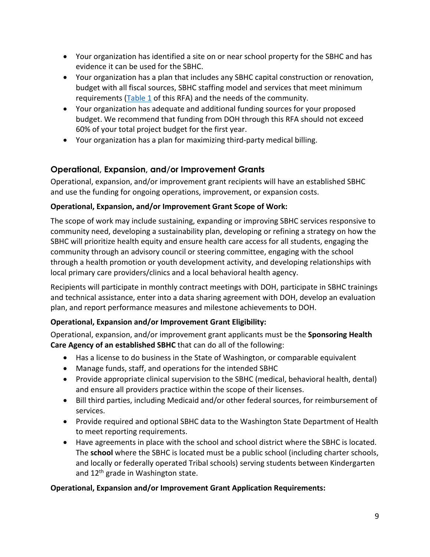- Your organization has identified a site on or near school property for the SBHC and has evidence it can be used for the SBHC.
- Your organization has a plan that includes any SBHC capital construction or renovation, budget with all fiscal sources, SBHC staffing model and services that meet minimum requirements ( $Table 1$  of this RFA) and the needs of the community.
- Your organization has adequate and additional funding sources for your proposed budget. We recommend that funding from DOH through this RFA should not exceed 60% of your total project budget for the first year.
- Your organization has a plan for maximizing third-party medical billing.

### <span id="page-8-0"></span>**Operational, Expansion, and/or Improvement Grants**

Operational, expansion, and/or improvement grant recipients will have an established SBHC and use the funding for ongoing operations, improvement, or expansion costs.

### **Operational, Expansion, and/or Improvement Grant Scope of Work:**

The scope of work may include sustaining, expanding or improving SBHC services responsive to community need, developing a sustainability plan, developing or refining a strategy on how the SBHC will prioritize health equity and ensure health care access for all students, engaging the community through an advisory council or steering committee, engaging with the school through a health promotion or youth development activity, and developing relationships with local primary care providers/clinics and a local behavioral health agency.

Recipients will participate in monthly contract meetings with DOH, participate in SBHC trainings and technical assistance, enter into a data sharing agreement with DOH, develop an evaluation plan, and report performance measures and milestone achievements to DOH.

### **Operational, Expansion and/or Improvement Grant Eligibility:**

Operational, expansion, and/or improvement grant applicants must be the **Sponsoring Health Care Agency of an established SBHC** that can do all of the following:

- Has a license to do business in the State of Washington, or comparable equivalent
- Manage funds, staff, and operations for the intended SBHC
- Provide appropriate clinical supervision to the SBHC (medical, behavioral health, dental) and ensure all providers practice within the scope of their licenses.
- Bill third parties, including Medicaid and/or other federal sources, for reimbursement of services.
- Provide required and optional SBHC data to the Washington State Department of Health to meet reporting requirements.
- Have agreements in place with the school and school district where the SBHC is located. The **school** where the SBHC is located must be a public school (including charter schools, and locally or federally operated Tribal schools) serving students between Kindergarten and 12<sup>th</sup> grade in Washington state.

### **Operational, Expansion and/or Improvement Grant Application Requirements:**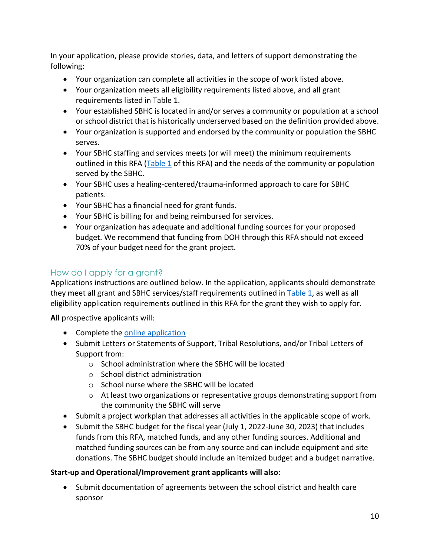In your application, please provide stories, data, and letters of support demonstrating the following:

- Your organization can complete all activities in the scope of work listed above.
- Your organization meets all eligibility requirements listed above, and all grant requirements listed in Table 1.
- Your established SBHC is located in and/or serves a community or population at a school or school district that is historically underserved based on the definition provided above.
- Your organization is supported and endorsed by the community or population the SBHC serves.
- Your SBHC staffing and services meets (or will meet) the minimum requirements outlined in this RFA [\(Table 1](#page-2-0) of this RFA) and the needs of the community or population served by the SBHC.
- Your SBHC uses a healing-centered/trauma-informed approach to care for SBHC patients.
- Your SBHC has a financial need for grant funds.
- Your SBHC is billing for and being reimbursed for services.
- Your organization has adequate and additional funding sources for your proposed budget. We recommend that funding from DOH through this RFA should not exceed 70% of your budget need for the grant project.

### How do I apply for a grant?

Applications instructions are outlined below. In the application, applicants should demonstrate they meet all grant and SBHC services/staff requirements outlined in [Table 1,](#page-2-0) as well as all eligibility application requirements outlined in this RFA for the grant they wish to apply for.

**All** prospective applicants will:

- Complete the [online application](https://redcap.link/SBHCgrantapplication)
- Submit Letters or Statements of Support, Tribal Resolutions, and/or Tribal Letters of Support from:
	- o School administration where the SBHC will be located
	- o School district administration
	- o School nurse where the SBHC will be located
	- $\circ$  At least two organizations or representative groups demonstrating support from the community the SBHC will serve
- Submit a project workplan that addresses all activities in the applicable scope of work.
- Submit the SBHC budget for the fiscal year (July 1, 2022-June 30, 2023) that includes funds from this RFA, matched funds, and any other funding sources. Additional and matched funding sources can be from any source and can include equipment and site donations. The SBHC budget should include an itemized budget and a budget narrative.

### **Start-up and Operational/Improvement grant applicants will also:**

• Submit documentation of agreements between the school district and health care sponsor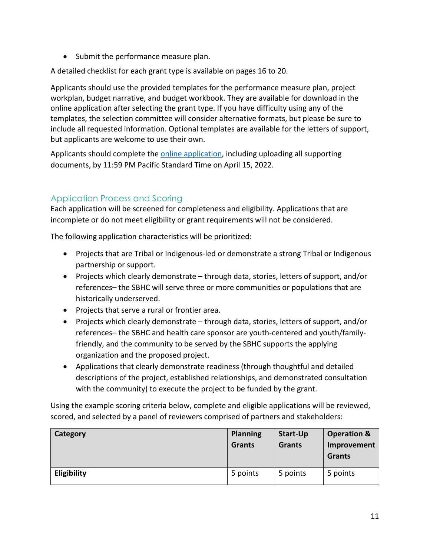• Submit the performance measure plan.

A detailed checklist for each grant type is available on pages 16 to 20.

Applicants should use the provided templates for the performance measure plan, project workplan, budget narrative, and budget workbook. They are available for download in the online application after selecting the grant type. If you have difficulty using any of the templates, the selection committee will consider alternative formats, but please be sure to include all requested information. Optional templates are available for the letters of support, but applicants are welcome to use their own.

Applicants should complete th[e online application,](https://redcap.link/SBHCgrantapplication) including uploading all supporting documents, by 11:59 PM Pacific Standard Time on April 15, 2022.

### Application Process and Scoring

Each application will be screened for completeness and eligibility. Applications that are incomplete or do not meet eligibility or grant requirements will not be considered.

The following application characteristics will be prioritized:

- Projects that are Tribal or Indigenous-led or demonstrate a strong Tribal or Indigenous partnership or support.
- Projects which clearly demonstrate through data, stories, letters of support, and/or references– the SBHC will serve three or more communities or populations that are historically underserved.
- Projects that serve a rural or frontier area.
- Projects which clearly demonstrate through data, stories, letters of support, and/or references– the SBHC and health care sponsor are youth-centered and youth/familyfriendly, and the community to be served by the SBHC supports the applying organization and the proposed project.
- Applications that clearly demonstrate readiness (through thoughtful and detailed descriptions of the project, established relationships, and demonstrated consultation with the community) to execute the project to be funded by the grant.

Using the example scoring criteria below, complete and eligible applications will be reviewed, scored, and selected by a panel of reviewers comprised of partners and stakeholders:

| Category    | <b>Planning</b><br>Grants | Start-Up<br><b>Grants</b> | <b>Operation &amp;</b><br>Improvement<br>Grants |
|-------------|---------------------------|---------------------------|-------------------------------------------------|
| Eligibility | 5 points                  | 5 points                  | 5 points                                        |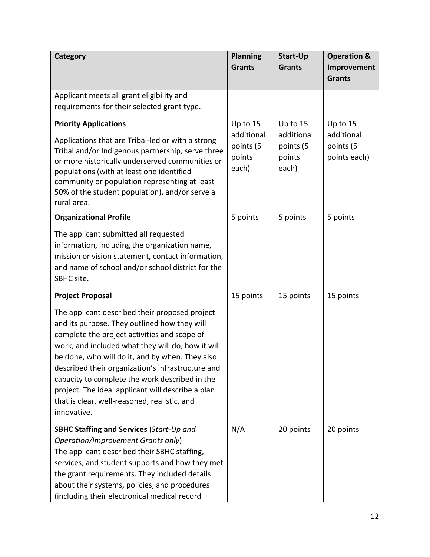| <b>Category</b>                                                                                                                                                                                                                                                                                                                                                                                                                                                                   | <b>Planning</b><br><b>Grants</b>                       | <b>Start-Up</b><br><b>Grants</b>                       | <b>Operation &amp;</b><br>Improvement               |
|-----------------------------------------------------------------------------------------------------------------------------------------------------------------------------------------------------------------------------------------------------------------------------------------------------------------------------------------------------------------------------------------------------------------------------------------------------------------------------------|--------------------------------------------------------|--------------------------------------------------------|-----------------------------------------------------|
|                                                                                                                                                                                                                                                                                                                                                                                                                                                                                   |                                                        |                                                        | <b>Grants</b>                                       |
| Applicant meets all grant eligibility and<br>requirements for their selected grant type.                                                                                                                                                                                                                                                                                                                                                                                          |                                                        |                                                        |                                                     |
| <b>Priority Applications</b><br>Applications that are Tribal-led or with a strong<br>Tribal and/or Indigenous partnership, serve three<br>or more historically underserved communities or<br>populations (with at least one identified<br>community or population representing at least<br>50% of the student population), and/or serve a<br>rural area.                                                                                                                          | Up to 15<br>additional<br>points (5<br>points<br>each) | Up to 15<br>additional<br>points (5<br>points<br>each) | Up to 15<br>additional<br>points (5<br>points each) |
| <b>Organizational Profile</b><br>The applicant submitted all requested<br>information, including the organization name,<br>mission or vision statement, contact information,<br>and name of school and/or school district for the<br>SBHC site.                                                                                                                                                                                                                                   | 5 points                                               | 5 points                                               | 5 points                                            |
| <b>Project Proposal</b>                                                                                                                                                                                                                                                                                                                                                                                                                                                           | 15 points                                              | 15 points                                              | 15 points                                           |
| The applicant described their proposed project<br>and its purpose. They outlined how they will<br>complete the project activities and scope of<br>work, and included what they will do, how it will<br>be done, who will do it, and by when. They also<br>described their organization's infrastructure and<br>capacity to complete the work described in the<br>project. The ideal applicant will describe a plan<br>that is clear, well-reasoned, realistic, and<br>innovative. |                                                        |                                                        |                                                     |
| <b>SBHC Staffing and Services (Start-Up and</b><br>Operation/Improvement Grants only)<br>The applicant described their SBHC staffing,<br>services, and student supports and how they met<br>the grant requirements. They included details<br>about their systems, policies, and procedures<br>(including their electronical medical record                                                                                                                                        | N/A                                                    | 20 points                                              | 20 points                                           |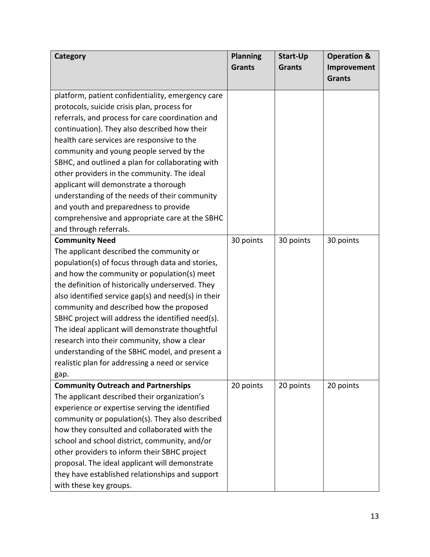| Category                                            | <b>Planning</b> | <b>Start-Up</b> | <b>Operation &amp;</b> |
|-----------------------------------------------------|-----------------|-----------------|------------------------|
|                                                     | <b>Grants</b>   | <b>Grants</b>   | Improvement            |
|                                                     |                 |                 | <b>Grants</b>          |
| platform, patient confidentiality, emergency care   |                 |                 |                        |
| protocols, suicide crisis plan, process for         |                 |                 |                        |
| referrals, and process for care coordination and    |                 |                 |                        |
| continuation). They also described how their        |                 |                 |                        |
| health care services are responsive to the          |                 |                 |                        |
| community and young people served by the            |                 |                 |                        |
| SBHC, and outlined a plan for collaborating with    |                 |                 |                        |
| other providers in the community. The ideal         |                 |                 |                        |
| applicant will demonstrate a thorough               |                 |                 |                        |
| understanding of the needs of their community       |                 |                 |                        |
| and youth and preparedness to provide               |                 |                 |                        |
| comprehensive and appropriate care at the SBHC      |                 |                 |                        |
| and through referrals.                              |                 |                 |                        |
| <b>Community Need</b>                               | 30 points       | 30 points       | 30 points              |
| The applicant described the community or            |                 |                 |                        |
| population(s) of focus through data and stories,    |                 |                 |                        |
| and how the community or population(s) meet         |                 |                 |                        |
| the definition of historically underserved. They    |                 |                 |                        |
| also identified service gap(s) and need(s) in their |                 |                 |                        |
| community and described how the proposed            |                 |                 |                        |
| SBHC project will address the identified need(s).   |                 |                 |                        |
| The ideal applicant will demonstrate thoughtful     |                 |                 |                        |
| research into their community, show a clear         |                 |                 |                        |
| understanding of the SBHC model, and present a      |                 |                 |                        |
| realistic plan for addressing a need or service     |                 |                 |                        |
| gap.                                                |                 |                 |                        |
| <b>Community Outreach and Partnerships</b>          | 20 points       | 20 points       | 20 points              |
| The applicant described their organization's        |                 |                 |                        |
| experience or expertise serving the identified      |                 |                 |                        |
| community or population(s). They also described     |                 |                 |                        |
| how they consulted and collaborated with the        |                 |                 |                        |
| school and school district, community, and/or       |                 |                 |                        |
| other providers to inform their SBHC project        |                 |                 |                        |
| proposal. The ideal applicant will demonstrate      |                 |                 |                        |
| they have established relationships and support     |                 |                 |                        |
| with these key groups.                              |                 |                 |                        |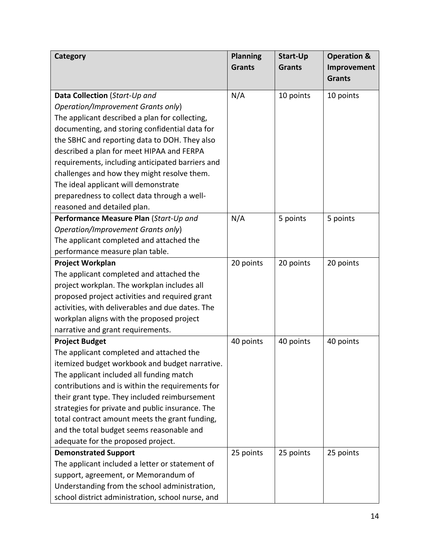| Category                                          | <b>Planning</b> | <b>Start-Up</b> | <b>Operation &amp;</b> |
|---------------------------------------------------|-----------------|-----------------|------------------------|
|                                                   | <b>Grants</b>   | <b>Grants</b>   | Improvement            |
|                                                   |                 |                 | <b>Grants</b>          |
| Data Collection (Start-Up and                     | N/A             | 10 points       | 10 points              |
| Operation/Improvement Grants only)                |                 |                 |                        |
| The applicant described a plan for collecting,    |                 |                 |                        |
| documenting, and storing confidential data for    |                 |                 |                        |
| the SBHC and reporting data to DOH. They also     |                 |                 |                        |
| described a plan for meet HIPAA and FERPA         |                 |                 |                        |
| requirements, including anticipated barriers and  |                 |                 |                        |
| challenges and how they might resolve them.       |                 |                 |                        |
| The ideal applicant will demonstrate              |                 |                 |                        |
| preparedness to collect data through a well-      |                 |                 |                        |
| reasoned and detailed plan.                       |                 |                 |                        |
| Performance Measure Plan (Start-Up and            | N/A             | 5 points        | 5 points               |
| Operation/Improvement Grants only)                |                 |                 |                        |
| The applicant completed and attached the          |                 |                 |                        |
| performance measure plan table.                   |                 |                 |                        |
| <b>Project Workplan</b>                           | 20 points       | 20 points       | 20 points              |
| The applicant completed and attached the          |                 |                 |                        |
| project workplan. The workplan includes all       |                 |                 |                        |
| proposed project activities and required grant    |                 |                 |                        |
| activities, with deliverables and due dates. The  |                 |                 |                        |
| workplan aligns with the proposed project         |                 |                 |                        |
| narrative and grant requirements.                 |                 |                 |                        |
| <b>Project Budget</b>                             | 40 points       | 40 points       | 40 points              |
| The applicant completed and attached the          |                 |                 |                        |
| itemized budget workbook and budget narrative     |                 |                 |                        |
| The applicant included all funding match          |                 |                 |                        |
| contributions and is within the requirements for  |                 |                 |                        |
| their grant type. They included reimbursement     |                 |                 |                        |
| strategies for private and public insurance. The  |                 |                 |                        |
| total contract amount meets the grant funding,    |                 |                 |                        |
| and the total budget seems reasonable and         |                 |                 |                        |
| adequate for the proposed project.                |                 |                 |                        |
| <b>Demonstrated Support</b>                       | 25 points       | 25 points       | 25 points              |
| The applicant included a letter or statement of   |                 |                 |                        |
| support, agreement, or Memorandum of              |                 |                 |                        |
| Understanding from the school administration,     |                 |                 |                        |
| school district administration, school nurse, and |                 |                 |                        |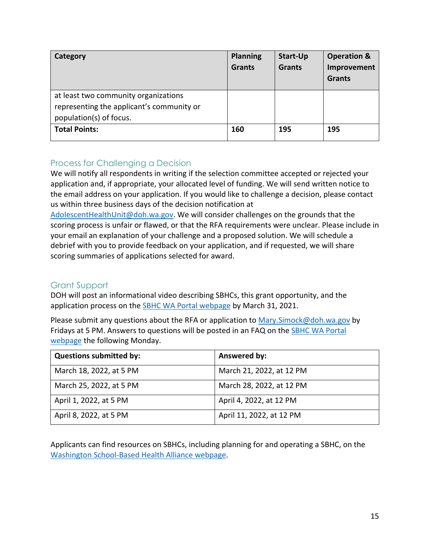| Category                                                                                                     | <b>Planning</b><br><b>Grants</b> | <b>Start-Up</b><br><b>Grants</b> | <b>Operation &amp;</b><br>Improvement<br><b>Grants</b> |
|--------------------------------------------------------------------------------------------------------------|----------------------------------|----------------------------------|--------------------------------------------------------|
| at least two community organizations<br>representing the applicant's community or<br>population(s) of focus. |                                  |                                  |                                                        |
| <b>Total Points:</b>                                                                                         | 160                              | 195                              | 195                                                    |

### Process for Challenging a Decision

We will notify all respondents in writing if the selection committee accepted or rejected your application and, if appropriate, your allocated level of funding. We will send written notice to the email address on your application. If you would like to challenge a decision, please contact us within three business days of the decision notification at

[AdolescentHealthUnit@doh.wa.gov.](mailto:AdolescentHealthUnit@doh.wa.gov) We will consider challenges on the grounds that the scoring process is unfair or flawed, or that the RFA requirements were unclear. Please include in your email an explanation of your challenge and a proposed solution. We will schedule a debrief with you to provide feedback on your application, and if requested, we will share scoring summaries of applications selected for award.

### Grant Support

DOH will post an informational video describing SBHCs, this grant opportunity, and the application process on the **SBHC WA Portal webpage** by March 31, 2021.

Please submit any questions about the RFA or application to Mary. Simock@doh.wa.gov by Fridays at 5 PM. Answers to questions will be posted in an FAQ on the **SBHC WA Portal** [webpage](https://waportal.org/partners/home/adolescent-health/SBHC-Grant) the following Monday.

| <b>Questions submitted by:</b> | Answered by:             |
|--------------------------------|--------------------------|
| March 18, 2022, at 5 PM        | March 21, 2022, at 12 PM |
| March 25, 2022, at 5 PM        | March 28, 2022, at 12 PM |
| April 1, 2022, at 5 PM         | April 4, 2022, at 12 PM  |
| April 8, 2022, at 5 PM         | April 11, 2022, at 12 PM |

Applicants can find resources on SBHCs, including planning for and operating a SBHC, on the [Washington School-Based Health Alliance webpage.](https://wasbha.org/planning-operating-and-sustaining-a-sbhc/)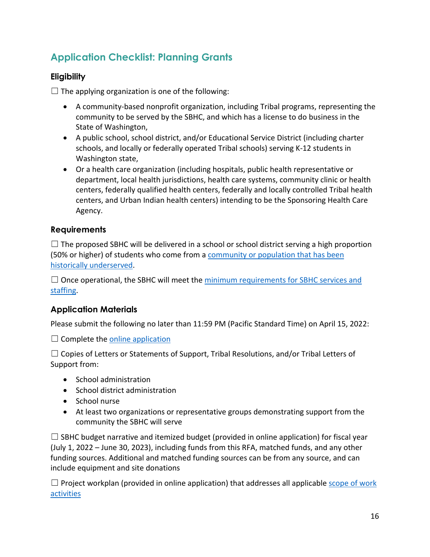# **Application Checklist: Planning Grants**

### **Eligibility**

 $\Box$  The applying organization is one of the following:

- A community-based nonprofit organization, including Tribal programs, representing the community to be served by the SBHC, and which has a license to do business in the State of Washington,
- A public school, school district, and/or Educational Service District (including charter schools, and locally or federally operated Tribal schools) serving K-12 students in Washington state,
- Or a health care organization (including hospitals, public health representative or department, local health jurisdictions, health care systems, community clinic or health centers, federally qualified health centers, federally and locally controlled Tribal health centers, and Urban Indian health centers) intending to be the Sponsoring Health Care Agency.

### **Requirements**

 $\Box$  The proposed SBHC will be delivered in a school or school district serving a high proportion (50% or higher) of students who come from a [community or population that has been](#page-4-0)  [historically underserved.](#page-4-0)

 $\Box$  Once operational, the SBHC will meet the minimum requirements for SBHC services and [staffing.](#page-2-0)

### **Application Materials**

Please submit the following no later than 11:59 PM (Pacific Standard Time) on April 15, 2022:

 $\Box$  Complete the online application

 $\Box$  Copies of Letters or Statements of Support, Tribal Resolutions, and/or Tribal Letters of Support from:

- School administration
- School district administration
- School nurse
- At least two organizations or representative groups demonstrating support from the community the SBHC will serve

 $\Box$  SBHC budget narrative and itemized budget (provided in online application) for fiscal year (July 1, 2022 – June 30, 2023), including funds from this RFA, matched funds, and any other funding sources. Additional and matched funding sources can be from any source, and can include equipment and site donations

 $\Box$  Project workplan (provided in online application) that addresses all applicable scope of work [activities](#page-5-0)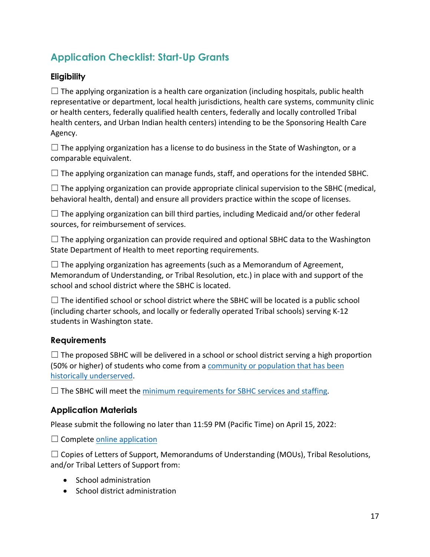# **Application Checklist: Start-Up Grants**

### **Eligibility**

 $\Box$  The applying organization is a health care organization (including hospitals, public health representative or department, local health jurisdictions, health care systems, community clinic or health centers, federally qualified health centers, federally and locally controlled Tribal health centers, and Urban Indian health centers) intending to be the Sponsoring Health Care Agency.

 $\square$  The applying organization has a license to do business in the State of Washington, or a comparable equivalent.

 $\Box$  The applying organization can manage funds, staff, and operations for the intended SBHC.

 $\Box$  The applying organization can provide appropriate clinical supervision to the SBHC (medical, behavioral health, dental) and ensure all providers practice within the scope of licenses.

 $\Box$  The applying organization can bill third parties, including Medicaid and/or other federal sources, for reimbursement of services.

 $\Box$  The applying organization can provide required and optional SBHC data to the Washington State Department of Health to meet reporting requirements.

 $\Box$  The applying organization has agreements (such as a Memorandum of Agreement, Memorandum of Understanding, or Tribal Resolution, etc.) in place with and support of the school and school district where the SBHC is located.

 $\Box$  The identified school or school district where the SBHC will be located is a public school (including charter schools, and locally or federally operated Tribal schools) serving K-12 students in Washington state.

### **Requirements**

 $\Box$  The proposed SBHC will be delivered in a school or school district serving a high proportion (50% or higher) of students who come from a [community or population that has been](#page-4-0)  [historically underserved.](#page-4-0)

 $\Box$  The SBHC will meet the [minimum requirements for SBHC services and staffing.](#page-2-0)

### **Application Materials**

Please submit the following no later than 11:59 PM (Pacific Time) on April 15, 2022:

 $\Box$  Complete [online application](https://redcap.link/SBHCgrantapplication)

 $\Box$  Copies of Letters of Support, Memorandums of Understanding (MOUs), Tribal Resolutions, and/or Tribal Letters of Support from:

- School administration
- School district administration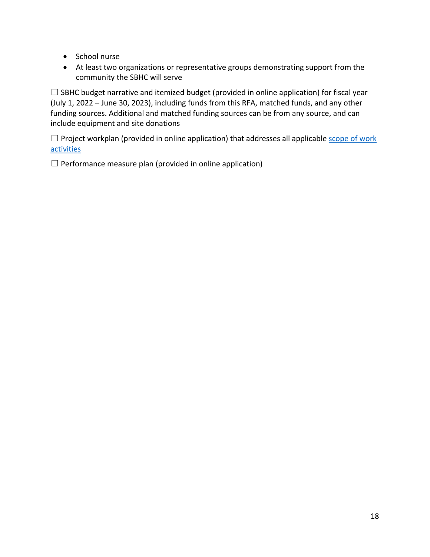- School nurse
- At least two organizations or representative groups demonstrating support from the community the SBHC will serve

 $\Box$  SBHC budget narrative and itemized budget (provided in online application) for fiscal year (July 1, 2022 – June 30, 2023), including funds from this RFA, matched funds, and any other funding sources. Additional and matched funding sources can be from any source, and can include equipment and site donations

□ Project workplan (provided in online application) that addresses all applicable scope of work [activities](#page-6-1) 

 $\Box$  Performance measure plan (provided in online application)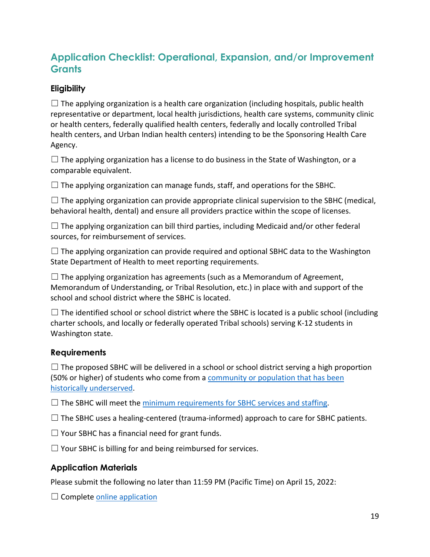## **Application Checklist: Operational, Expansion, and/or Improvement Grants**

### **Eligibility**

 $\Box$  The applying organization is a health care organization (including hospitals, public health representative or department, local health jurisdictions, health care systems, community clinic or health centers, federally qualified health centers, federally and locally controlled Tribal health centers, and Urban Indian health centers) intending to be the Sponsoring Health Care Agency.

 $\square$  The applying organization has a license to do business in the State of Washington, or a comparable equivalent.

 $\Box$  The applying organization can manage funds, staff, and operations for the SBHC.

 $\Box$  The applying organization can provide appropriate clinical supervision to the SBHC (medical, behavioral health, dental) and ensure all providers practice within the scope of licenses.

 $\Box$  The applying organization can bill third parties, including Medicaid and/or other federal sources, for reimbursement of services.

 $\Box$  The applying organization can provide required and optional SBHC data to the Washington State Department of Health to meet reporting requirements.

 $\Box$  The applying organization has agreements (such as a Memorandum of Agreement, Memorandum of Understanding, or Tribal Resolution, etc.) in place with and support of the school and school district where the SBHC is located.

 $\Box$  The identified school or school district where the SBHC is located is a public school (including charter schools, and locally or federally operated Tribal schools) serving K-12 students in Washington state.

### **Requirements**

 $\Box$  The proposed SBHC will be delivered in a school or school district serving a high proportion (50% or higher) of students who come from a [community or population that has been](#page-4-0)  [historically underserved.](#page-4-0)

 $\Box$  The SBHC will meet the [minimum requirements for SBHC services and staffing.](#page-2-0)

 $\Box$  The SBHC uses a healing-centered (trauma-informed) approach to care for SBHC patients.

 $\Box$  Your SBHC has a financial need for grant funds.

 $\Box$  Your SBHC is billing for and being reimbursed for services.

### **Application Materials**

Please submit the following no later than 11:59 PM (Pacific Time) on April 15, 2022:

 $\Box$  Complete [online application](https://redcap.link/SBHCgrantapplication)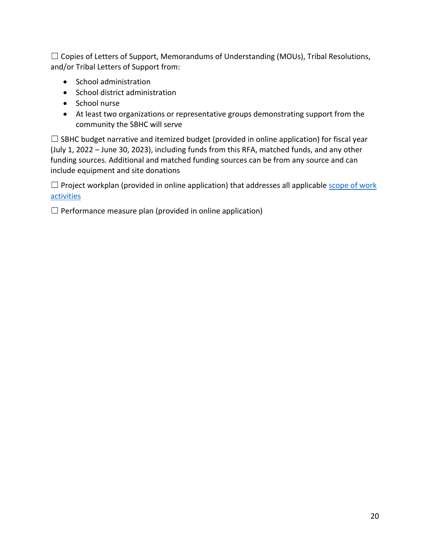☐ Copies of Letters of Support, Memorandums of Understanding (MOUs), Tribal Resolutions, and/or Tribal Letters of Support from:

- School administration
- School district administration
- School nurse
- At least two organizations or representative groups demonstrating support from the community the SBHC will serve

 $\Box$  SBHC budget narrative and itemized budget (provided in online application) for fiscal year (July 1, 2022 – June 30, 2023), including funds from this RFA, matched funds, and any other funding sources. Additional and matched funding sources can be from any source and can include equipment and site donations

 $\Box$  Project workplan (provided in online application) that addresses all applicable scope of work [activities](#page-8-0) 

 $\Box$  Performance measure plan (provided in online application)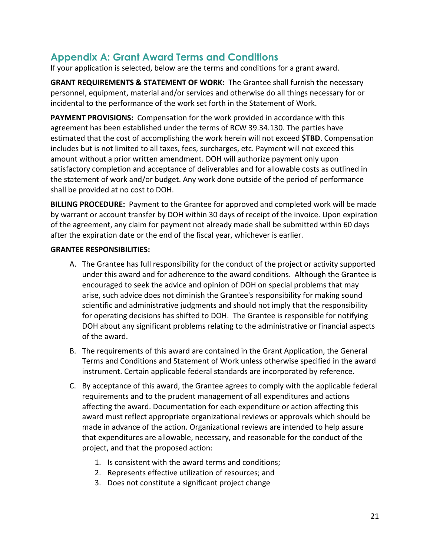### <span id="page-20-0"></span>**Appendix A: Grant Award Terms and Conditions**

If your application is selected, below are the terms and conditions for a grant award.

**GRANT REQUIREMENTS & STATEMENT OF WORK:** The Grantee shall furnish the necessary personnel, equipment, material and/or services and otherwise do all things necessary for or incidental to the performance of the work set forth in the Statement of Work.

**PAYMENT PROVISIONS:** Compensation for the work provided in accordance with this agreement has been established under the terms of RCW 39.34.130. The parties have estimated that the cost of accomplishing the work herein will not exceed **\$TBD**. Compensation includes but is not limited to all taxes, fees, surcharges, etc. Payment will not exceed this amount without a prior written amendment. DOH will authorize payment only upon satisfactory completion and acceptance of deliverables and for allowable costs as outlined in the statement of work and/or budget. Any work done outside of the period of performance shall be provided at no cost to DOH.

**BILLING PROCEDURE:** Payment to the Grantee for approved and completed work will be made by warrant or account transfer by DOH within 30 days of receipt of the invoice. Upon expiration of the agreement, any claim for payment not already made shall be submitted within 60 days after the expiration date or the end of the fiscal year, whichever is earlier.

#### **GRANTEE RESPONSIBILITIES:**

- A. The Grantee has full responsibility for the conduct of the project or activity supported under this award and for adherence to the award conditions. Although the Grantee is encouraged to seek the advice and opinion of DOH on special problems that may arise, such advice does not diminish the Grantee's responsibility for making sound scientific and administrative judgments and should not imply that the responsibility for operating decisions has shifted to DOH. The Grantee is responsible for notifying DOH about any significant problems relating to the administrative or financial aspects of the award.
- B. The requirements of this award are contained in the Grant Application, the General Terms and Conditions and Statement of Work unless otherwise specified in the award instrument. Certain applicable federal standards are incorporated by reference.
- C. By acceptance of this award, the Grantee agrees to comply with the applicable federal requirements and to the prudent management of all expenditures and actions affecting the award. Documentation for each expenditure or action affecting this award must reflect appropriate organizational reviews or approvals which should be made in advance of the action. Organizational reviews are intended to help assure that expenditures are allowable, necessary, and reasonable for the conduct of the project, and that the proposed action:
	- 1. Is consistent with the award terms and conditions;
	- 2. Represents effective utilization of resources; and
	- 3. Does not constitute a significant project change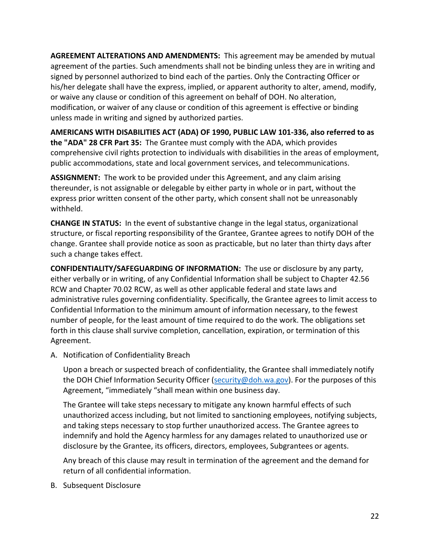**AGREEMENT ALTERATIONS AND AMENDMENTS:** This agreement may be amended by mutual agreement of the parties. Such amendments shall not be binding unless they are in writing and signed by personnel authorized to bind each of the parties. Only the Contracting Officer or his/her delegate shall have the express, implied, or apparent authority to alter, amend, modify, or waive any clause or condition of this agreement on behalf of DOH. No alteration, modification, or waiver of any clause or condition of this agreement is effective or binding unless made in writing and signed by authorized parties.

**AMERICANS WITH DISABILITIES ACT (ADA) OF 1990, PUBLIC LAW 101-336, also referred to as the "ADA" 28 CFR Part 35:** The Grantee must comply with the ADA, which provides comprehensive civil rights protection to individuals with disabilities in the areas of employment, public accommodations, state and local government services, and telecommunications.

**ASSIGNMENT:** The work to be provided under this Agreement, and any claim arising thereunder, is not assignable or delegable by either party in whole or in part, without the express prior written consent of the other party, which consent shall not be unreasonably withheld.

**CHANGE IN STATUS:** In the event of substantive change in the legal status, organizational structure, or fiscal reporting responsibility of the Grantee, Grantee agrees to notify DOH of the change. Grantee shall provide notice as soon as practicable, but no later than thirty days after such a change takes effect.

**CONFIDENTIALITY/SAFEGUARDING OF INFORMATION:** The use or disclosure by any party, either verbally or in writing, of any Confidential Information shall be subject to Chapter 42.56 RCW and Chapter 70.02 RCW, as well as other applicable federal and state laws and administrative rules governing confidentiality. Specifically, the Grantee agrees to limit access to Confidential Information to the minimum amount of information necessary, to the fewest number of people, for the least amount of time required to do the work. The obligations set forth in this clause shall survive completion, cancellation, expiration, or termination of this Agreement.

A. Notification of Confidentiality Breach

Upon a breach or suspected breach of confidentiality, the Grantee shall immediately notify the DOH Chief Information Security Officer [\(security@doh.wa.gov\)](mailto:security@doh.wa.gov). For the purposes of this Agreement, "immediately "shall mean within one business day.

The Grantee will take steps necessary to mitigate any known harmful effects of such unauthorized access including, but not limited to sanctioning employees, notifying subjects, and taking steps necessary to stop further unauthorized access. The Grantee agrees to indemnify and hold the Agency harmless for any damages related to unauthorized use or disclosure by the Grantee, its officers, directors, employees, Subgrantees or agents.

Any breach of this clause may result in termination of the agreement and the demand for return of all confidential information.

B. Subsequent Disclosure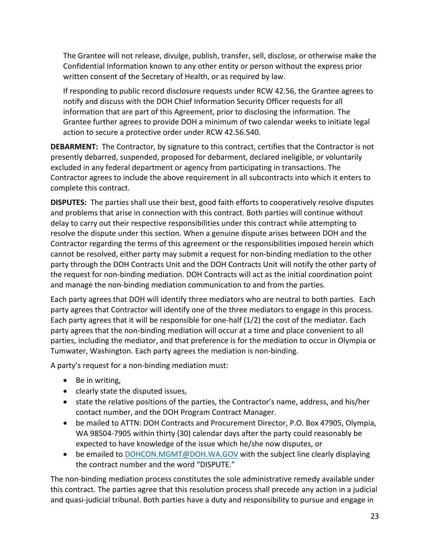The Grantee will not release, divulge, publish, transfer, sell, disclose, or otherwise make the Confidential Information known to any other entity or person without the express prior written consent of the Secretary of Health, or as required by law.

If responding to public record disclosure requests under RCW 42.56, the Grantee agrees to notify and discuss with the DOH Chief Information Security Officer requests for all information that are part of this Agreement, prior to disclosing the information. The Grantee further agrees to provide DOH a minimum of two calendar weeks to initiate legal action to secure a protective order under RCW 42.56.540.

**DEBARMENT:** The Contractor, by signature to this contract, certifies that the Contractor is not presently debarred, suspended, proposed for debarment, declared ineligible, or voluntarily excluded in any federal department or agency from participating in transactions. The Contractor agrees to include the above requirement in all subcontracts into which it enters to complete this contract.

**DISPUTES:** The parties shall use their best, good faith efforts to cooperatively resolve disputes and problems that arise in connection with this contract. Both parties will continue without delay to carry out their respective responsibilities under this contract while attempting to resolve the dispute under this section. When a genuine dispute arises between DOH and the Contractor regarding the terms of this agreement or the responsibilities imposed herein which cannot be resolved, either party may submit a request for non-binding mediation to the other party through the DOH Contracts Unit and the DOH Contracts Unit will notify the other party of the request for non-binding mediation. DOH Contracts will act as the initial coordination point and manage the non-binding mediation communication to and from the parties.

Each party agrees that DOH will identify three mediators who are neutral to both parties. Each party agrees that Contractor will identify one of the three mediators to engage in this process. Each party agrees that it will be responsible for one-half (1/2) the cost of the mediator. Each party agrees that the non-binding mediation will occur at a time and place convenient to all parties, including the mediator, and that preference is for the mediation to occur in Olympia or Tumwater, Washington. Each party agrees the mediation is non-binding.

A party's request for a non-binding mediation must:

- Be in writing,
- clearly state the disputed issues,
- state the relative positions of the parties, the Contractor's name, address, and his/her contact number, and the DOH Program Contract Manager.
- be mailed to ATTN: DOH Contracts and Procurement Director, P.O. Box 47905, Olympia, WA 98504-7905 within thirty (30) calendar days after the party could reasonably be expected to have knowledge of the issue which he/she now disputes, or
- be emailed to [DOHCON.MGMT@DOH.WA.GOV](mailto:DOHCON.MGMT@DOH.WA.GOV) with the subject line clearly displaying the contract number and the word "DISPUTE."

The non-binding mediation process constitutes the sole administrative remedy available under this contract. The parties agree that this resolution process shall precede any action in a judicial and quasi-judicial tribunal. Both parties have a duty and responsibility to pursue and engage in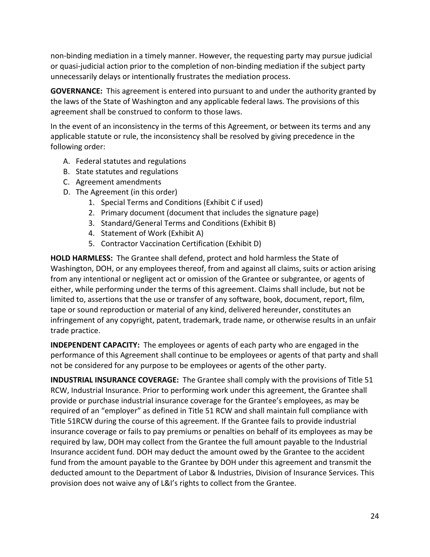non-binding mediation in a timely manner. However, the requesting party may pursue judicial or quasi-judicial action prior to the completion of non-binding mediation if the subject party unnecessarily delays or intentionally frustrates the mediation process.

**GOVERNANCE:** This agreement is entered into pursuant to and under the authority granted by the laws of the State of Washington and any applicable federal laws. The provisions of this agreement shall be construed to conform to those laws.

In the event of an inconsistency in the terms of this Agreement, or between its terms and any applicable statute or rule, the inconsistency shall be resolved by giving precedence in the following order:

- A. Federal statutes and regulations
- B. State statutes and regulations
- C. Agreement amendments
- D. The Agreement (in this order)
	- 1. Special Terms and Conditions (Exhibit C if used)
	- 2. Primary document (document that includes the signature page)
	- 3. Standard/General Terms and Conditions (Exhibit B)
	- 4. Statement of Work (Exhibit A)
	- 5. Contractor Vaccination Certification (Exhibit D)

**HOLD HARMLESS:** The Grantee shall defend, protect and hold harmless the State of Washington, DOH, or any employees thereof, from and against all claims, suits or action arising from any intentional or negligent act or omission of the Grantee or subgrantee, or agents of either, while performing under the terms of this agreement. Claims shall include, but not be limited to, assertions that the use or transfer of any software, book, document, report, film, tape or sound reproduction or material of any kind, delivered hereunder, constitutes an infringement of any copyright, patent, trademark, trade name, or otherwise results in an unfair trade practice.

**INDEPENDENT CAPACITY:** The employees or agents of each party who are engaged in the performance of this Agreement shall continue to be employees or agents of that party and shall not be considered for any purpose to be employees or agents of the other party.

**INDUSTRIAL INSURANCE COVERAGE:** The Grantee shall comply with the provisions of Title 51 RCW, Industrial Insurance. Prior to performing work under this agreement, the Grantee shall provide or purchase industrial insurance coverage for the Grantee's employees, as may be required of an "employer" as defined in Title 51 RCW and shall maintain full compliance with Title 51RCW during the course of this agreement. If the Grantee fails to provide industrial insurance coverage or fails to pay premiums or penalties on behalf of its employees as may be required by law, DOH may collect from the Grantee the full amount payable to the Industrial Insurance accident fund. DOH may deduct the amount owed by the Grantee to the accident fund from the amount payable to the Grantee by DOH under this agreement and transmit the deducted amount to the Department of Labor & Industries, Division of Insurance Services. This provision does not waive any of L&I's rights to collect from the Grantee.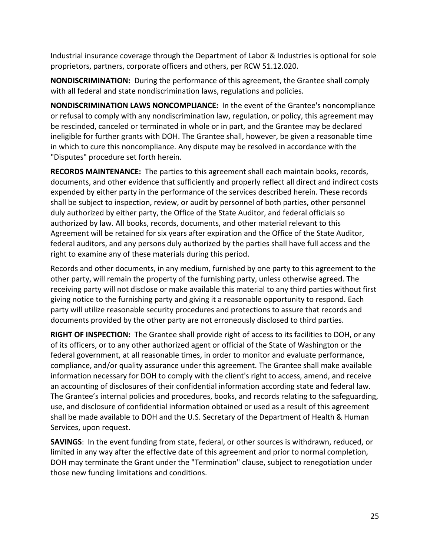Industrial insurance coverage through the Department of Labor & Industries is optional for sole proprietors, partners, corporate officers and others, per RCW 51.12.020.

**NONDISCRIMINATION:** During the performance of this agreement, the Grantee shall comply with all federal and state nondiscrimination laws, regulations and policies.

**NONDISCRIMINATION LAWS NONCOMPLIANCE:** In the event of the Grantee's noncompliance or refusal to comply with any nondiscrimination law, regulation, or policy, this agreement may be rescinded, canceled or terminated in whole or in part, and the Grantee may be declared ineligible for further grants with DOH. The Grantee shall, however, be given a reasonable time in which to cure this noncompliance. Any dispute may be resolved in accordance with the "Disputes" procedure set forth herein.

**RECORDS MAINTENANCE:** The parties to this agreement shall each maintain books, records, documents, and other evidence that sufficiently and properly reflect all direct and indirect costs expended by either party in the performance of the services described herein. These records shall be subject to inspection, review, or audit by personnel of both parties, other personnel duly authorized by either party, the Office of the State Auditor, and federal officials so authorized by law. All books, records, documents, and other material relevant to this Agreement will be retained for six years after expiration and the Office of the State Auditor, federal auditors, and any persons duly authorized by the parties shall have full access and the right to examine any of these materials during this period.

Records and other documents, in any medium, furnished by one party to this agreement to the other party, will remain the property of the furnishing party, unless otherwise agreed. The receiving party will not disclose or make available this material to any third parties without first giving notice to the furnishing party and giving it a reasonable opportunity to respond. Each party will utilize reasonable security procedures and protections to assure that records and documents provided by the other party are not erroneously disclosed to third parties.

**RIGHT OF INSPECTION:** The Grantee shall provide right of access to its facilities to DOH, or any of its officers, or to any other authorized agent or official of the State of Washington or the federal government, at all reasonable times, in order to monitor and evaluate performance, compliance, and/or quality assurance under this agreement. The Grantee shall make available information necessary for DOH to comply with the client's right to access, amend, and receive an accounting of disclosures of their confidential information according state and federal law. The Grantee's internal policies and procedures, books, and records relating to the safeguarding, use, and disclosure of confidential information obtained or used as a result of this agreement shall be made available to DOH and the U.S. Secretary of the Department of Health & Human Services, upon request.

**SAVINGS**: In the event funding from state, federal, or other sources is withdrawn, reduced, or limited in any way after the effective date of this agreement and prior to normal completion, DOH may terminate the Grant under the "Termination" clause, subject to renegotiation under those new funding limitations and conditions.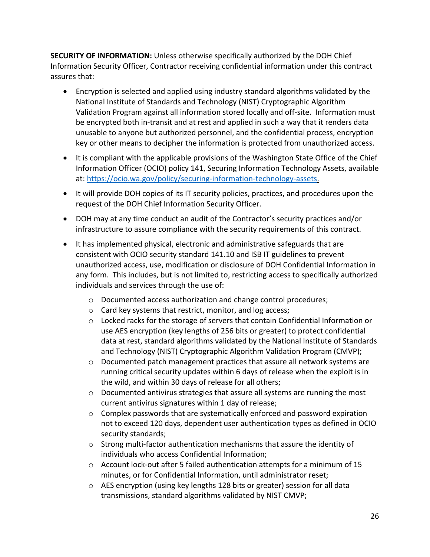**SECURITY OF INFORMATION:** Unless otherwise specifically authorized by the DOH Chief Information Security Officer, Contractor receiving confidential information under this contract assures that:

- Encryption is selected and applied using industry standard algorithms validated by the National Institute of Standards and Technology (NIST) Cryptographic Algorithm Validation Program against all information stored locally and off-site. Information must be encrypted both in-transit and at rest and applied in such a way that it renders data unusable to anyone but authorized personnel, and the confidential process, encryption key or other means to decipher the information is protected from unauthorized access.
- It is compliant with the applicable provisions of the Washington State Office of the Chief Information Officer (OCIO) policy 141, Securing Information Technology Assets, available at: [https://ocio.wa.gov/policy/securing-information-technology-assets.](https://ocio.wa.gov/policy/securing-information-technology-assets)
- It will provide DOH copies of its IT security policies, practices, and procedures upon the request of the DOH Chief Information Security Officer.
- DOH may at any time conduct an audit of the Contractor's security practices and/or infrastructure to assure compliance with the security requirements of this contract.
- It has implemented physical, electronic and administrative safeguards that are consistent with OCIO security standard 141.10 and ISB IT guidelines to prevent unauthorized access, use, modification or disclosure of DOH Confidential Information in any form. This includes, but is not limited to, restricting access to specifically authorized individuals and services through the use of:
	- o Documented access authorization and change control procedures;
	- o Card key systems that restrict, monitor, and log access;
	- $\circ$  Locked racks for the storage of servers that contain Confidential Information or use AES encryption (key lengths of 256 bits or greater) to protect confidential data at rest, standard algorithms validated by the National Institute of Standards and Technology (NIST) Cryptographic Algorithm Validation Program (CMVP);
	- $\circ$  Documented patch management practices that assure all network systems are running critical security updates within 6 days of release when the exploit is in the wild, and within 30 days of release for all others;
	- $\circ$  Documented antivirus strategies that assure all systems are running the most current antivirus signatures within 1 day of release;
	- $\circ$  Complex passwords that are systematically enforced and password expiration not to exceed 120 days, dependent user authentication types as defined in OCIO security standards;
	- $\circ$  Strong multi-factor authentication mechanisms that assure the identity of individuals who access Confidential Information;
	- o Account lock-out after 5 failed authentication attempts for a minimum of 15 minutes, or for Confidential Information, until administrator reset;
	- o AES encryption (using key lengths 128 bits or greater) session for all data transmissions, standard algorithms validated by NIST CMVP;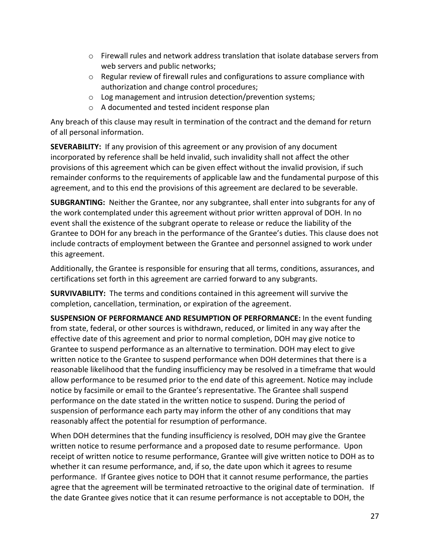- $\circ$  Firewall rules and network address translation that isolate database servers from web servers and public networks;
- $\circ$  Regular review of firewall rules and configurations to assure compliance with authorization and change control procedures;
- o Log management and intrusion detection/prevention systems;
- o A documented and tested incident response plan

Any breach of this clause may result in termination of the contract and the demand for return of all personal information.

**SEVERABILITY:** If any provision of this agreement or any provision of any document incorporated by reference shall be held invalid, such invalidity shall not affect the other provisions of this agreement which can be given effect without the invalid provision, if such remainder conforms to the requirements of applicable law and the fundamental purpose of this agreement, and to this end the provisions of this agreement are declared to be severable.

**SUBGRANTING:** Neither the Grantee, nor any subgrantee, shall enter into subgrants for any of the work contemplated under this agreement without prior written approval of DOH. In no event shall the existence of the subgrant operate to release or reduce the liability of the Grantee to DOH for any breach in the performance of the Grantee's duties. This clause does not include contracts of employment between the Grantee and personnel assigned to work under this agreement.

Additionally, the Grantee is responsible for ensuring that all terms, conditions, assurances, and certifications set forth in this agreement are carried forward to any subgrants.

**SURVIVABILITY:** The terms and conditions contained in this agreement will survive the completion, cancellation, termination, or expiration of the agreement.

**SUSPENSION OF PERFORMANCE AND RESUMPTION OF PERFORMANCE:** In the event funding from state, federal, or other sources is withdrawn, reduced, or limited in any way after the effective date of this agreement and prior to normal completion, DOH may give notice to Grantee to suspend performance as an alternative to termination. DOH may elect to give written notice to the Grantee to suspend performance when DOH determines that there is a reasonable likelihood that the funding insufficiency may be resolved in a timeframe that would allow performance to be resumed prior to the end date of this agreement. Notice may include notice by facsimile or email to the Grantee's representative. The Grantee shall suspend performance on the date stated in the written notice to suspend. During the period of suspension of performance each party may inform the other of any conditions that may reasonably affect the potential for resumption of performance.

When DOH determines that the funding insufficiency is resolved, DOH may give the Grantee written notice to resume performance and a proposed date to resume performance. Upon receipt of written notice to resume performance, Grantee will give written notice to DOH as to whether it can resume performance, and, if so, the date upon which it agrees to resume performance. If Grantee gives notice to DOH that it cannot resume performance, the parties agree that the agreement will be terminated retroactive to the original date of termination. If the date Grantee gives notice that it can resume performance is not acceptable to DOH, the